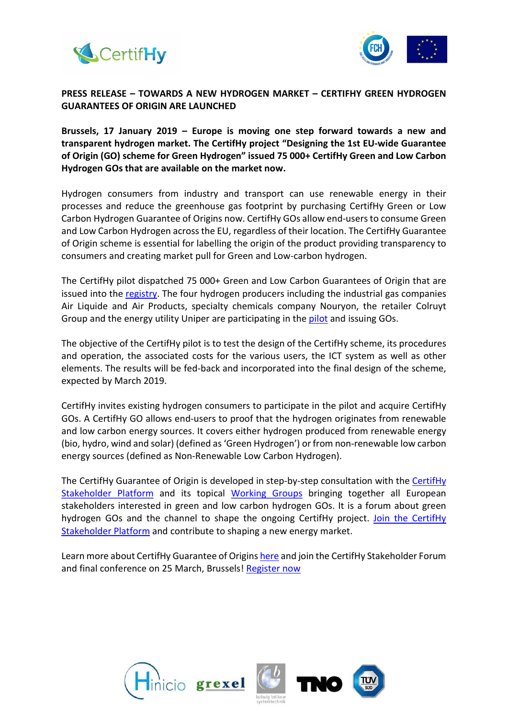



## PRESS RELEASE – TOWARDS A NEW HYDROGEN MARKET – CERTIFHY GREEN HYDROGEN GUARANTEES OF ORIGIN ARE LAUNCHED

Brussels, 17 January 2019 – Europe is moving one step forward towards a new and transparent hydrogen market. The CertifHy project "Designing the 1st EU-wide Guarantee of Origin (GO) scheme for Green Hydrogen" issued 75 000+ CertifHy Green and Low Carbon Hydrogen GOs that are available on the market now.

Hydrogen consumers from industry and transport can use renewable energy in their processes and reduce the greenhouse gas footprint by purchasing CertifHy Green or Low Carbon Hydrogen Guarantee of Origins now. CertifHy GOs allow end-users to consume Green and Low Carbon Hydrogen across the EU, regardless of their location. The CertifHy Guarantee of Origin scheme is essential for labelling the origin of the product providing transparency to consumers and creating market pull for Green and Low-carbon hydrogen.

The CertifHy pilot dispatched 75 000+ Green and Low Carbon Guarantees of Origin that are issued into the registry. The four hydrogen producers including the industrial gas companies Air Liquide and Air Products, specialty chemicals company Nouryon, the retailer Colruyt Group and the energy utility Uniper are participating in the pilot and issuing GOs.

The objective of the CertifHy pilot is to test the design of the CertifHy scheme, its procedures and operation, the associated costs for the various users, the ICT system as well as other elements. The results will be fed-back and incorporated into the final design of the scheme, expected by March 2019.

CertifHy invites existing hydrogen consumers to participate in the pilot and acquire CertifHy GOs. A CertifHy GO allows end-users to proof that the hydrogen originates from renewable and low carbon energy sources. It covers either hydrogen produced from renewable energy (bio, hydro, wind and solar) (defined as 'Green Hydrogen') or from non-renewable low carbon energy sources (defined as Non-Renewable Low Carbon Hydrogen).

The CertifHy Guarantee of Origin is developed in step-by-step consultation with the CertifHy Stakeholder Platform and its topical Working Groups bringing together all European stakeholders interested in green and low carbon hydrogen GOs. It is a forum about green hydrogen GOs and the channel to shape the ongoing CertifHy project. Join the CertifHy Stakeholder Platform and contribute to shaping a new energy market.

Learn more about CertifHy Guarantee of Origins here and join the CertifHy Stakeholder Forum and final conference on 25 March, Brussels! Register now